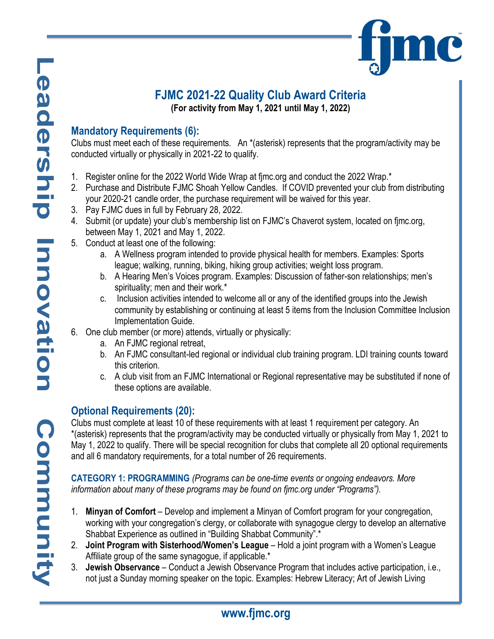### **FJMC 2021-22 Quality Club Award Criteria (For activity from May 1, 2021 until May 1, 2022)**

# **Mandatory Requirements (6):**

Clubs must meet each of these requirements. An \*(asterisk) represents that the program/activity may be conducted virtually or physically in 2021-22 to qualify.

- 1. Register online for the 2022 World Wide Wrap at fjmc.org and conduct the 2022 Wrap.\*
- 2. Purchase and Distribute FJMC Shoah Yellow Candles. If COVID prevented your club from distributing your 2020-21 candle order, the purchase requirement will be waived for this year.
- 3. Pay FJMC dues in full by February 28, 2022.
- 4. Submit (or update) your club's membership list on FJMC's Chaverot system, located on fjmc.org, between May 1, 2021 and May 1, 2022.
- 5. Conduct at least one of the following:
	- a. A Wellness program intended to provide physical health for members. Examples: Sports league; walking, running, biking, hiking group activities; weight loss program.
	- b. A Hearing Men's Voices program. Examples: Discussion of father-son relationships; men's spirituality; men and their work.\*
	- c. Inclusion activities intended to welcome all or any of the identified groups into the Jewish community by establishing or continuing at least 5 items from the Inclusion Committee Inclusion Implementation Guide.
- 6. One club member (or more) attends, virtually or physically:
	- a. An FJMC regional retreat,
	- b. An FJMC consultant-led regional or individual club training program. LDI training counts toward this criterion.
	- c. A club visit from an FJMC International or Regional representative may be substituted if none of these options are available.

# **Optional Requirements (20):**

Clubs must complete at least 10 of these requirements with at least 1 requirement per category. An \*(asterisk) represents that the program/activity may be conducted virtually or physically from May 1, 2021 to May 1, 2022 to qualify. There will be special recognition for clubs that complete all 20 optional requirements and all 6 mandatory requirements, for a total number of 26 requirements.

**CATEGORY 1: PROGRAMMING** *(Programs can be one-time events or ongoing endeavors. More information about many of these programs may be found on fjmc.org under "Programs").*

- 1. **Minyan of Comfort**  Develop and implement a Minyan of Comfort program for your congregation, working with your congregation's clergy, or collaborate with synagogue clergy to develop an alternative Shabbat Experience as outlined in "Building Shabbat Community".\*
- 2. **Joint Program with Sisterhood/Women's League** Hold a joint program with a Women's League Affiliate group of the same synagogue, if applicable.\*
- 3. **Jewish Observance** Conduct a Jewish Observance Program that includes active participation, i.e., not just a Sunday morning speaker on the topic. Examples: Hebrew Literacy; Art of Jewish Living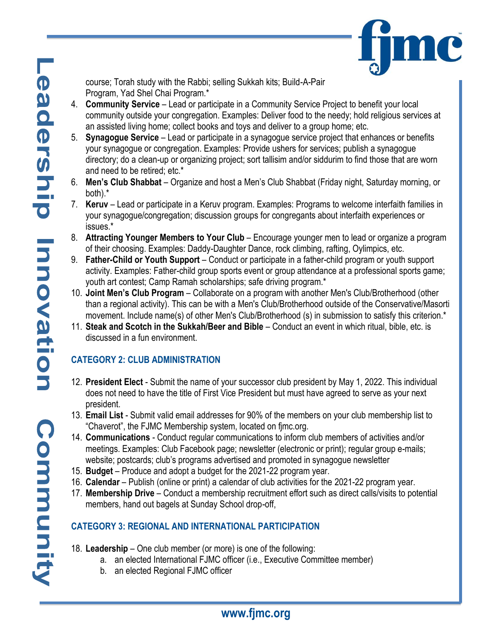

course; Torah study with the Rabbi; selling Sukkah kits; Build-A-Pair Program, Yad Shel Chai Program.\*

- 4. **Community Service** Lead or participate in a Community Service Project to benefit your local community outside your congregation. Examples: Deliver food to the needy; hold religious services at an assisted living home; collect books and toys and deliver to a group home; etc.
- 5. **Synagogue Service** Lead or participate in a synagogue service project that enhances or benefits your synagogue or congregation. Examples: Provide ushers for services; publish a synagogue directory; do a clean-up or organizing project; sort tallisim and/or siddurim to find those that are worn and need to be retired; etc.\*
- 6. **Men's Club Shabbat** Organize and host a Men's Club Shabbat (Friday night, Saturday morning, or both).\*
- 7. **Keruv**  Lead or participate in a Keruv program. Examples: Programs to welcome interfaith families in your synagogue/congregation; discussion groups for congregants about interfaith experiences or issues.\*
- 8. **Attracting Younger Members to Your Club** Encourage younger men to lead or organize a program of their choosing. Examples: Daddy-Daughter Dance, rock climbing, rafting, Oylimpics, etc.
- 9. **Father-Child or Youth Support** Conduct or participate in a father-child program or youth support activity. Examples: Father-child group sports event or group attendance at a professional sports game; youth art contest; Camp Ramah scholarships; safe driving program.\*
- 10. **Joint Men's Club Program** Collaborate on a program with another Men's Club/Brotherhood (other than a regional activity). This can be with a Men's Club/Brotherhood outside of the Conservative/Masorti movement. Include name(s) of other Men's Club/Brotherhood (s) in submission to satisfy this criterion.\*
- 11. **Steak and Scotch in the Sukkah/Beer and Bible** Conduct an event in which ritual, bible, etc. is discussed in a fun environment.

# **CATEGORY 2: CLUB ADMINISTRATION**

- 12. **President Elect**  Submit the name of your successor club president by May 1, 2022. This individual does not need to have the title of First Vice President but must have agreed to serve as your next president.
- 13. **Email List**  Submit valid email addresses for 90% of the members on your club membership list to "Chaverot", the FJMC Membership system, located on fjmc.org.
- 14. **Communications** Conduct regular communications to inform club members of activities and/or meetings. Examples: Club Facebook page; newsletter (electronic or print); regular group e-mails; website; postcards; club's programs advertised and promoted in synagogue newsletter
- 15. **Budget**  Produce and adopt a budget for the 2021-22 program year.
- 16. **Calendar** Publish (online or print) a calendar of club activities for the 2021-22 program year.
- 17. **Membership Drive** Conduct a membership recruitment effort such as direct calls/visits to potential members, hand out bagels at Sunday School drop-off,

# **CATEGORY 3: REGIONAL AND INTERNATIONAL PARTICIPATION**

- 18. **Leadership** One club member (or more) is one of the following:
	- a. an elected International FJMC officer (i.e., Executive Committee member)
	- b. an elected Regional FJMC officer